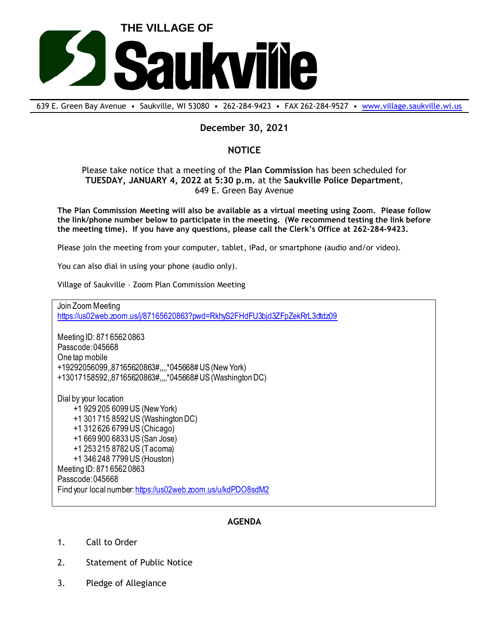

639 E. Green Bay Avenue • Saukville, WI 53080 • 262-284-9423 • FAX 262-284-9527 • [www.village.saukville.wi.us](http://www.village.saukville.wi.us/)

## **December 30, 2021**

## **NOTICE**

Please take notice that a meeting of the **Plan Commission** has been scheduled for **TUESDAY, JANUARY 4, 2022 at 5:30 p.m.** at the **Saukville Police Department**, 649 E. Green Bay Avenue

**The Plan Commission Meeting will also be available as a virtual meeting using Zoom. Please follow the link/phone number below to participate in the meeting. (We recommend testing the link before the meeting time). If you have any questions, please call the Clerk's Office at 262-284-9423.**

Please join the meeting from your computer, tablet, iPad, or smartphone (audio and/or video).

You can also dial in using your phone (audio only).

Village of Saukville – Zoom Plan Commission Meeting

Join Zoom Meeting https://us02web.zoom.us/j/87165620863?pwd=RkhyS2FHdFU3bjd3ZFpZekRrL3dtdz09

Meeting ID: 871 6562 0863 Passcode: 045668 One tap mobile +19292056099,,87165620863#,,,,\*045668# US (New York) +13017158592,,87165620863#,,,,\*045668# US (Washington DC)

Dial by your location +1 929 205 6099 US (New York) +1 301 715 8592 US (Washington DC) +1 312 626 6799 US (Chicago) +1 669 900 6833 US (San Jose) +1 253 215 8782 US (Tacoma) +1 346 248 7799 US (Houston) Meeting ID: 871 6562 0863 Passcode: 045668 Find your local number: https://us02web.zoom.us/u/kdPDO8sdM2

## **AGENDA**

- 1. Call to Order
- 2. Statement of Public Notice
- 3. Pledge of Allegiance